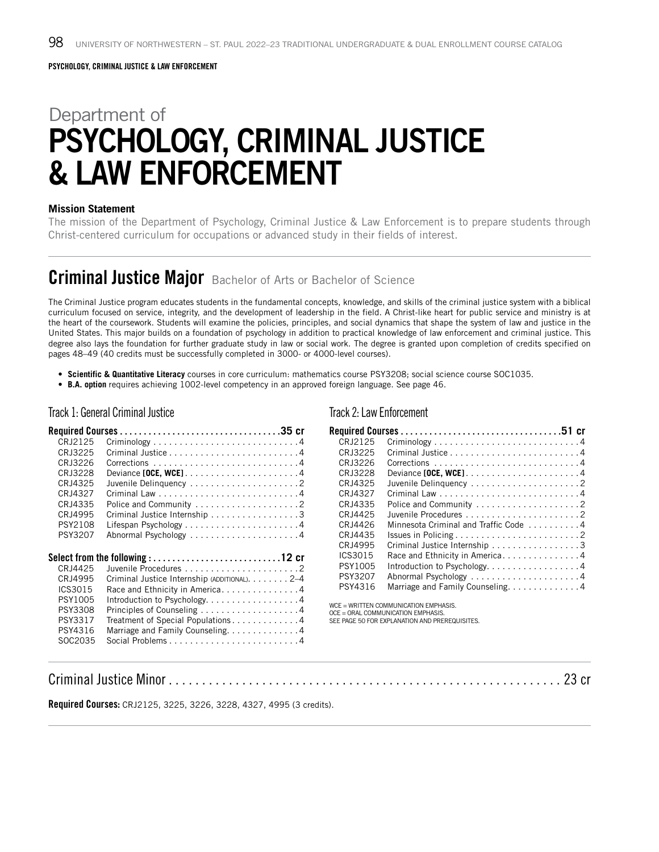# Department of PSYCHOLOGY, CRIMINAL JUSTICE & LAW ENFORCEMENT

#### **Mission Statement**

The mission of the Department of Psychology, Criminal Justice & Law Enforcement is to prepare students through Christ-centered curriculum for occupations or advanced study in their fields of interest.

## Criminal Justice Major Bachelor of Arts or Bachelor of Science

The Criminal Justice program educates students in the fundamental concepts, knowledge, and skills of the criminal justice system with a biblical curriculum focused on service, integrity, and the development of leadership in the field. A Christ-like heart for public service and ministry is at the heart of the coursework. Students will examine the policies, principles, and social dynamics that shape the system of law and justice in the United States. This major builds on a foundation of psychology in addition to practical knowledge of law enforcement and criminal justice. This degree also lays the foundation for further graduate study in law or social work. The degree is granted upon completion of credits specified on pages 48–49 (40 credits must be successfully completed in 3000- or 4000-level courses).

- **Scientific & Quantitative Literacy** courses in core curriculum: mathematics course PSY3208; social science course SOC1035.
- **B.A. option** requires achieving 1002-level competency in an approved foreign language. See page 46.

#### Track 1: General Criminal Justice

#### Track 2: Law Enforcement

| CRJ2125  | $Criminology \ldots \ldots \ldots \ldots \ldots \ldots \ldots \ldots \ldots \ldots 4$ |
|----------|---------------------------------------------------------------------------------------|
| CRJ3225  |                                                                                       |
| CRJ3226  |                                                                                       |
| CR.I3228 |                                                                                       |
| CRJ4325  |                                                                                       |
| CRJ4327  |                                                                                       |
| CRJ4335  |                                                                                       |
| CRJ4995  | Criminal Justice Internship 3                                                         |
| PSY2108  |                                                                                       |
| PSY3207  |                                                                                       |
|          |                                                                                       |
|          |                                                                                       |
|          |                                                                                       |
| CRJ4425  |                                                                                       |
| CRJ4995  | Criminal Justice Internship (ADDITIONAL). 2-4                                         |
| ICS3015  | Race and Ethnicity in America4                                                        |
| PSY1005  | Introduction to Psychology. 4                                                         |
| PSY3308  | Principles of Counseling 4                                                            |
| PSY3317  | Treatment of Special Populations4                                                     |
| PSY4316  | Marriage and Family Counseling. 4                                                     |
| SOC2035  |                                                                                       |

Required Courses. . **35 cr**

|  |  | $Criminology \ldots \ldots \ldots \ldots \ldots \ldots \ldots \ldots \ldots$<br>Juvenile Delinquency 2<br>Minnesota Criminal and Traffic Code 4<br>Criminal Justice Internship 3<br>Race and Ethnicity in America4<br>Introduction to Psychology4<br>Marriage and Family Counseling. 4 |
|--|--|----------------------------------------------------------------------------------------------------------------------------------------------------------------------------------------------------------------------------------------------------------------------------------------|

WCE = WRITTEN COMMUNICATION EMPHASIS.

OCE = ORAL COMMUNICATION EMPHASIS.

SEE PAGE 50 FOR EXPLANATION AND PREREQUISITES.

# Criminal Justice Minor . . . . . . . . . . . . . . . . . . . . . . . . . . . . . . . . . . . . . . . . . . . . . . . . . . . . . . . . . . . 23 cr

**Required Courses:** CRJ2125, 3225, 3226, 3228, 4327, 4995 (3 credits).